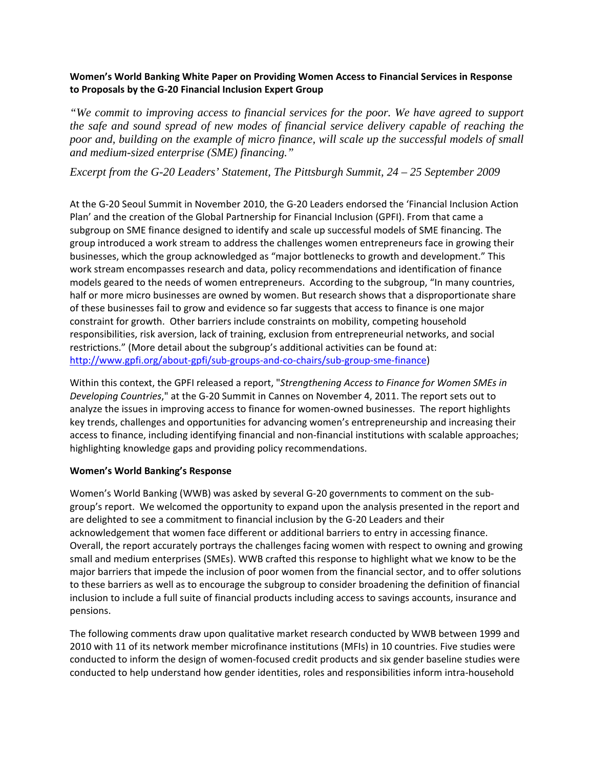# **Women's World Banking White Paper on Providing Women Access to Financial Services in Response to Proposals by the G‐20 Financial Inclusion Expert Group**

*"We commit to improving access to financial services for the poor. We have agreed to support the safe and sound spread of new modes of financial service delivery capable of reaching the*  poor and, building on the example of micro finance, will scale up the successful models of small *and medium-sized enterprise (SME) financing."* 

*Excerpt from the G-20 Leaders' Statement, The Pittsburgh Summit, 24 – 25 September 2009* 

At the G‐20 Seoul Summit in November 2010, the G‐20 Leaders endorsed the 'Financial Inclusion Action Plan' and the creation of the Global Partnership for Financial Inclusion (GPFI). From that came a subgroup on SME finance designed to identify and scale up successful models of SME financing. The group introduced a work stream to address the challenges women entrepreneurs face in growing their businesses, which the group acknowledged as "major bottlenecks to growth and development." This work stream encompasses research and data, policy recommendations and identification of finance models geared to the needs of women entrepreneurs. According to the subgroup, "In many countries, half or more micro businesses are owned by women. But research shows that a disproportionate share of these businesses fail to grow and evidence so far suggests that access to finance is one major constraint for growth. Other barriers include constraints on mobility, competing household responsibilities, risk aversion, lack of training, exclusion from entrepreneurial networks, and social restrictions." (More detail about the subgroup's additional activities can be found at: http://www.gpfi.org/about‐gpfi/sub‐groups‐and‐co‐chairs/sub‐group‐sme‐finance)

Within this context, the GPFI released a report, "*Strengthening Access to Finance for Women SMEs in Developing Countries*," at the G‐20 Summit in Cannes on November 4, 2011. The report sets out to analyze the issues in improving access to finance for women-owned businesses. The report highlights key trends, challenges and opportunities for advancing women's entrepreneurship and increasing their access to finance, including identifying financial and non‐financial institutions with scalable approaches; highlighting knowledge gaps and providing policy recommendations.

### **Women's World Banking's Response**

Women's World Banking (WWB) was asked by several G-20 governments to comment on the subgroup's report. We welcomed the opportunity to expand upon the analysis presented in the report and are delighted to see a commitment to financial inclusion by the G‐20 Leaders and their acknowledgement that women face different or additional barriers to entry in accessing finance. Overall, the report accurately portrays the challenges facing women with respect to owning and growing small and medium enterprises (SMEs). WWB crafted this response to highlight what we know to be the major barriers that impede the inclusion of poor women from the financial sector, and to offer solutions to these barriers as well as to encourage the subgroup to consider broadening the definition of financial inclusion to include a full suite of financial products including access to savings accounts, insurance and pensions.

The following comments draw upon qualitative market research conducted by WWB between 1999 and 2010 with 11 of its network member microfinance institutions (MFIs) in 10 countries. Five studies were conducted to inform the design of women‐focused credit products and six gender baseline studies were conducted to help understand how gender identities, roles and responsibilities inform intra‐household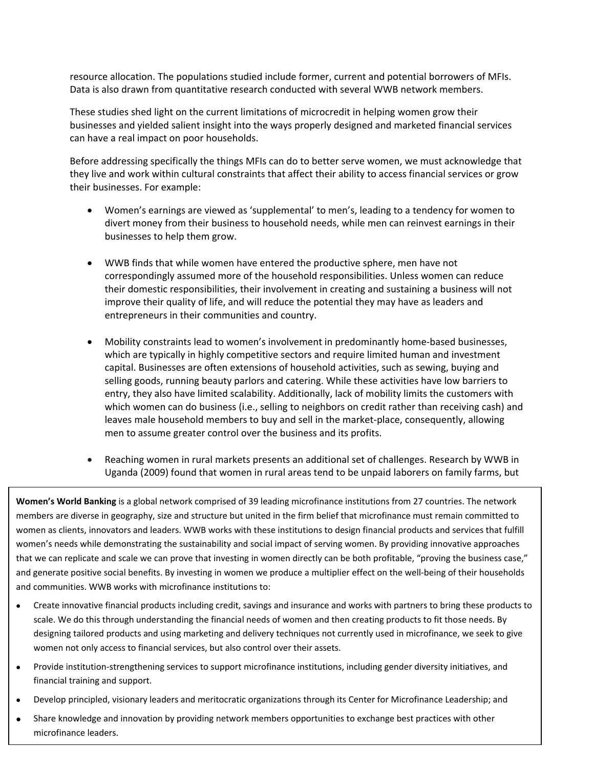resource allocation. The populations studied include former, current and potential borrowers of MFIs. Data is also drawn from quantitative research conducted with several WWB network members.

These studies shed light on the current limitations of microcredit in helping women grow their businesses and yielded salient insight into the ways properly designed and marketed financial services can have a real impact on poor households.

Before addressing specifically the things MFIs can do to better serve women, we must acknowledge that they live and work within cultural constraints that affect their ability to access financial services or grow their businesses. For example:

- Women's earnings are viewed as 'supplemental' to men's, leading to a tendency for women to divert money from their business to household needs, while men can reinvest earnings in their businesses to help them grow.
- WWB finds that while women have entered the productive sphere, men have not correspondingly assumed more of the household responsibilities. Unless women can reduce their domestic responsibilities, their involvement in creating and sustaining a business will not improve their quality of life, and will reduce the potential they may have as leaders and entrepreneurs in their communities and country.
- Mobility constraints lead to women's involvement in predominantly home-based businesses, which are typically in highly competitive sectors and require limited human and investment capital. Businesses are often extensions of household activities, such as sewing, buying and selling goods, running beauty parlors and catering. While these activities have low barriers to entry, they also have limited scalability. Additionally, lack of mobility limits the customers with which women can do business (i.e., selling to neighbors on credit rather than receiving cash) and leaves male household members to buy and sell in the market-place, consequently, allowing men to assume greater control over the business and its profits.
- Reaching women in rural markets presents an additional set of challenges. Research by WWB in Uganda (2009) found that women in rural areas tend to be unpaid laborers on family farms, but

**Women's World Banking** is a global network comprised of 39 leading microfinance institutions from 27 countries. The network members are diverse in geography, size and structure but united in the firm belief that microfinance must remain committed to women as clients, innovators and leaders. WWB works with these institutions to design financial products and services that fulfill women's needs while demonstrating the sustainability and social impact of serving women. By providing innovative approaches that we can replicate and scale we can prove that investing in women directly can be both profitable, "proving the business case," and generate positive social benefits. By investing in women we produce a multiplier effect on the well‐being of their households and communities. WWB works with microfinance institutions to:

- Create innovative financial products including credit, savings and insurance and works with partners to bring these products to scale. We do this through understanding the financial needs of women and then creating products to fit those needs. By designing tailored products and using marketing and delivery techniques not currently used in microfinance, we seek to give women not only access to financial services, but also control over their assets.
- Provide institution‐strengthening services to support microfinance institutions, including gender diversity initiatives, and financial training and support.
- Develop principled, visionary leaders and meritocratic organizations through its Center for Microfinance Leadership; and
- Share knowledge and innovation by providing network members opportunities to exchange best practices with other microfinance leaders.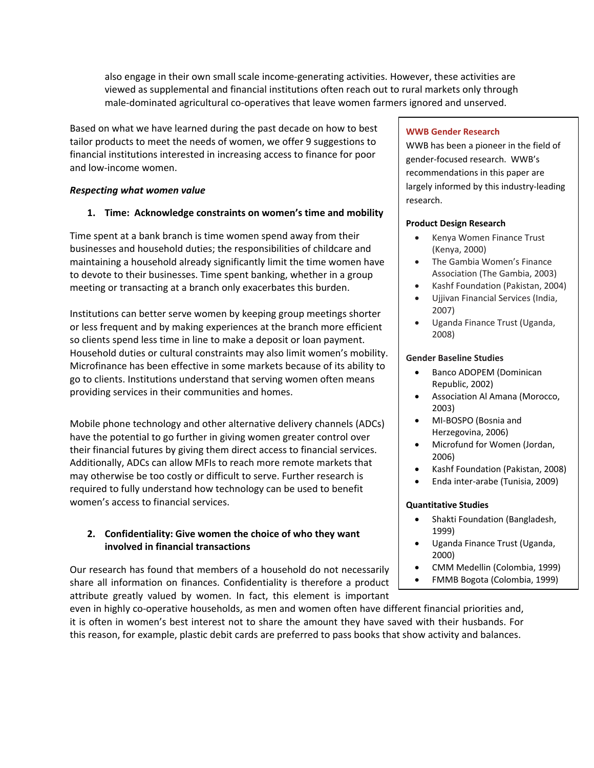also engage in their own small scale income‐generating activities. However, these activities are viewed as supplemental and financial institutions often reach out to rural markets only through male-dominated agricultural co-operatives that leave women farmers ignored and unserved.

Based on what we have learned during the past decade on how to best tailor products to meet the needs of women, we offer 9 suggestions to financial institutions interested in increasing access to finance for poor and low‐income women.

### *Respecting what women value*

# **1. Time: Acknowledge constraints on women's time and mobility**

Time spent at a bank branch is time women spend away from their businesses and household duties; the responsibilities of childcare and maintaining a household already significantly limit the time women have to devote to their businesses. Time spent banking, whether in a group meeting or transacting at a branch only exacerbates this burden.

Institutions can better serve women by keeping group meetings shorter or less frequent and by making experiences at the branch more efficient so clients spend less time in line to make a deposit or loan payment. Household duties or cultural constraints may also limit women's mobility. Microfinance has been effective in some markets because of its ability to go to clients. Institutions understand that serving women often means providing services in their communities and homes.

Mobile phone technology and other alternative delivery channels (ADCs) have the potential to go further in giving women greater control over their financial futures by giving them direct access to financial services. Additionally, ADCs can allow MFIs to reach more remote markets that may otherwise be too costly or difficult to serve. Further research is required to fully understand how technology can be used to benefit women's access to financial services.

# **2. Confidentiality: Give women the choice of who they want involved in financial transactions**

Our research has found that members of a household do not necessarily share all information on finances. Confidentiality is therefore a product attribute greatly valued by women. In fact, this element is important

even in highly co-operative households, as men and women often have different financial priorities and, it is often in women's best interest not to share the amount they have saved with their husbands. For this reason, for example, plastic debit cards are preferred to pass books that show activity and balances.

# **WWB Gender Research**

WWB has been a pioneer in the field of gender‐focused research. WWB's recommendations in this paper are largely informed by this industry‐leading research.

### **Product Design Research**

- Kenya Women Finance Trust (Kenya, 2000)
- The Gambia Women's Finance Association (The Gambia, 2003)
- Kashf Foundation (Pakistan, 2004)
- Ujjivan Financial Services (India, 2007)
- Uganda Finance Trust (Uganda, 2008)

### **Gender Baseline Studies**

- Banco ADOPEM (Dominican Republic, 2002)
- Association Al Amana (Morocco, 2003)
- MI‐BOSPO (Bosnia and Herzegovina, 2006)
- Microfund for Women (Jordan, 2006)
- Kashf Foundation (Pakistan, 2008)
- Enda inter‐arabe (Tunisia, 2009)

### **Quantitative Studies**

- Shakti Foundation (Bangladesh, 1999)
- Uganda Finance Trust (Uganda, 2000)
- CMM Medellin (Colombia, 1999)
- FMMB Bogota (Colombia, 1999)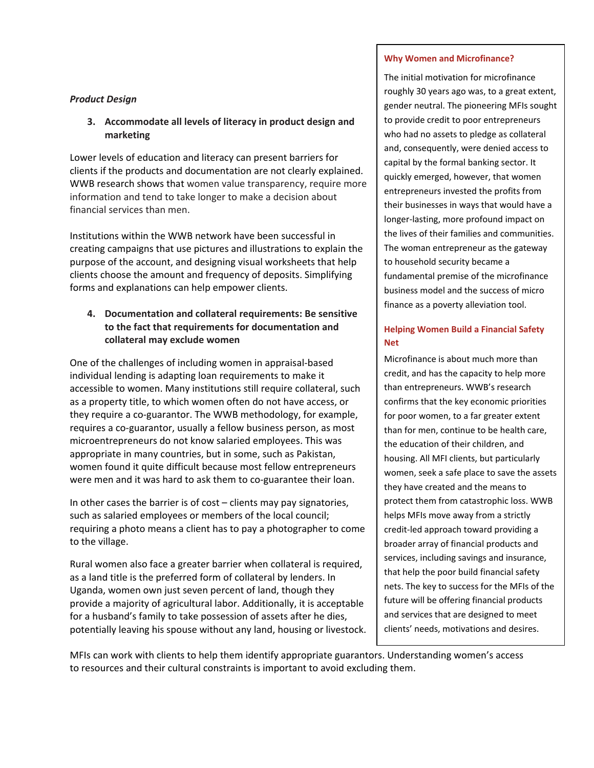# *Product Design*

# **3. Accommodate all levels of literacy in product design and marketing**

Lower levels of education and literacy can present barriers for clients if the products and documentation are not clearly explained. WWB research shows that women value transparency, require more information and tend to take longer to make a decision about financial services than men.

Institutions within the WWB network have been successful in creating campaigns that use pictures and illustrations to explain the purpose of the account, and designing visual worksheets that help clients choose the amount and frequency of deposits. Simplifying forms and explanations can help empower clients.

# **4. Documentation and collateral requirements: Be sensitive to the fact that requirements for documentation and collateral may exclude women**

One of the challenges of including women in appraisal‐based individual lending is adapting loan requirements to make it accessible to women. Many institutions still require collateral, such as a property title, to which women often do not have access, or they require a co‐guarantor. The WWB methodology, for example, requires a co‐guarantor, usually a fellow business person, as most microentrepreneurs do not know salaried employees. This was appropriate in many countries, but in some, such as Pakistan, women found it quite difficult because most fellow entrepreneurs were men and it was hard to ask them to co-guarantee their loan.

In other cases the barrier is of cost – clients may pay signatories, such as salaried employees or members of the local council; requiring a photo means a client has to pay a photographer to come to the village.

Rural women also face a greater barrier when collateral is required, as a land title is the preferred form of collateral by lenders. In Uganda, women own just seven percent of land, though they provide a majority of agricultural labor. Additionally, it is acceptable for a husband's family to take possession of assets after he dies, potentially leaving his spouse without any land, housing or livestock.

### **Why Women and Microfinance?**

The initial motivation for microfinance roughly 30 years ago was, to a great extent, gender neutral. The pioneering MFIs sought to provide credit to poor entrepreneurs who had no assets to pledge as collateral and, consequently, were denied access to capital by the formal banking sector. It quickly emerged, however, that women entrepreneurs invested the profits from their businesses in ways that would have a longer‐lasting, more profound impact on the lives of their families and communities. The woman entrepreneur as the gateway to household security became a fundamental premise of the microfinance business model and the success of micro finance as a poverty alleviation tool.

# **Helping Women Build a Financial Safety Net**

Microfinance is about much more than credit, and has the capacity to help more than entrepreneurs. WWB's research confirms that the key economic priorities for poor women, to a far greater extent than for men, continue to be health care, the education of their children, and housing. All MFI clients, but particularly women, seek a safe place to save the assets they have created and the means to protect them from catastrophic loss. WWB helps MFIs move away from a strictly credit‐led approach toward providing a broader array of financial products and services, including savings and insurance, that help the poor build financial safety nets. The key to success for the MFIs of the future will be offering financial products and services that are designed to meet clients' needs, motivations and desires.

MFIs can work with clients to help them identify appropriate guarantors. Understanding women's access to resources and their cultural constraints is important to avoid excluding them.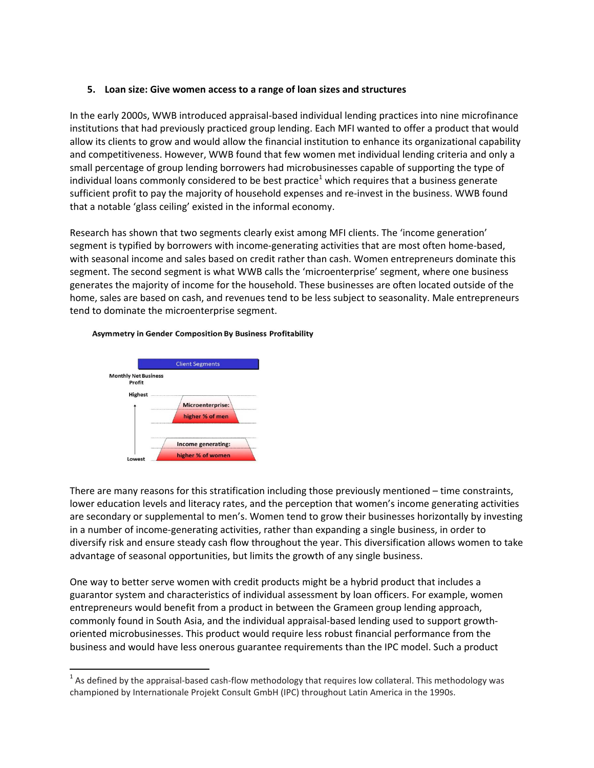### **5. Loan size: Give women access to a range of loan sizes and structures**

In the early 2000s, WWB introduced appraisal‐based individual lending practices into nine microfinance institutions that had previously practiced group lending. Each MFI wanted to offer a product that would allow its clients to grow and would allow the financial institution to enhance its organizational capability and competitiveness. However, WWB found that few women met individual lending criteria and only a small percentage of group lending borrowers had microbusinesses capable of supporting the type of individual loans commonly considered to be best practice<sup>1</sup> which requires that a business generate sufficient profit to pay the majority of household expenses and re-invest in the business. WWB found that a notable 'glass ceiling' existed in the informal economy.

Research has shown that two segments clearly exist among MFI clients. The 'income generation' segment is typified by borrowers with income-generating activities that are most often home-based, with seasonal income and sales based on credit rather than cash. Women entrepreneurs dominate this segment. The second segment is what WWB calls the 'microenterprise' segment, where one business generates the majority of income for the household. These businesses are often located outside of the home, sales are based on cash, and revenues tend to be less subject to seasonality. Male entrepreneurs tend to dominate the microenterprise segment.



#### **Asymmetry in Gender Composition By Business Profitability**

There are many reasons for this stratification including those previously mentioned – time constraints, lower education levels and literacy rates, and the perception that women's income generating activities are secondary or supplemental to men's. Women tend to grow their businesses horizontally by investing in a number of income‐generating activities, rather than expanding a single business, in order to diversify risk and ensure steady cash flow throughout the year. This diversification allows women to take advantage of seasonal opportunities, but limits the growth of any single business.

One way to better serve women with credit products might be a hybrid product that includes a guarantor system and characteristics of individual assessment by loan officers. For example, women entrepreneurs would benefit from a product in between the Grameen group lending approach, commonly found in South Asia, and the individual appraisal‐based lending used to support growth‐ oriented microbusinesses. This product would require less robust financial performance from the business and would have less onerous guarantee requirements than the IPC model. Such a product

  $1$  As defined by the appraisal-based cash-flow methodology that requires low collateral. This methodology was championed by Internationale Projekt Consult GmbH (IPC) throughout Latin America in the 1990s.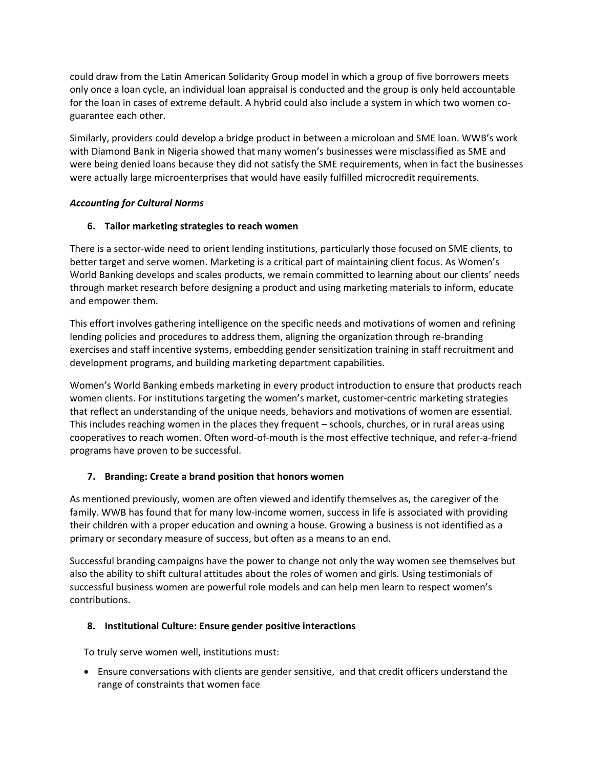could draw from the Latin American Solidarity Group model in which a group of five borrowers meets only once a loan cycle, an individual loan appraisal is conducted and the group is only held accountable for the loan in cases of extreme default. A hybrid could also include a system in which two women co‐ guarantee each other.

Similarly, providers could develop a bridge product in between a microloan and SME loan. WWB's work with Diamond Bank in Nigeria showed that many women's businesses were misclassified as SME and were being denied loans because they did not satisfy the SME requirements, when in fact the businesses were actually large microenterprises that would have easily fulfilled microcredit requirements.

# *Accounting for Cultural Norms*

# **6. Tailor marketing strategies to reach women**

There is a sector-wide need to orient lending institutions, particularly those focused on SME clients, to better target and serve women. Marketing is a critical part of maintaining client focus. As Women's World Banking develops and scales products, we remain committed to learning about our clients' needs through market research before designing a product and using marketing materials to inform, educate and empower them.

This effort involves gathering intelligence on the specific needs and motivations of women and refining lending policies and procedures to address them, aligning the organization through re‐branding exercises and staff incentive systems, embedding gender sensitization training in staff recruitment and development programs, and building marketing department capabilities.

Women's World Banking embeds marketing in every product introduction to ensure that products reach women clients. For institutions targeting the women's market, customer-centric marketing strategies that reflect an understanding of the unique needs, behaviors and motivations of women are essential. This includes reaching women in the places they frequent – schools, churches, or in rural areas using cooperatives to reach women. Often word‐of‐mouth is the most effective technique, and refer‐a‐friend programs have proven to be successful.

# **7. Branding: Create a brand position that honors women**

As mentioned previously, women are often viewed and identify themselves as, the caregiver of the family. WWB has found that for many low-income women, success in life is associated with providing their children with a proper education and owning a house. Growing a business is not identified as a primary or secondary measure of success, but often as a means to an end.

Successful branding campaigns have the power to change not only the way women see themselves but also the ability to shift cultural attitudes about the roles of women and girls. Using testimonials of successful business women are powerful role models and can help men learn to respect women's contributions.

### **8. Institutional Culture: Ensure gender positive interactions**

To truly serve women well, institutions must:

 Ensure conversations with clients are gender sensitive, and that credit officers understand the range of constraints that women face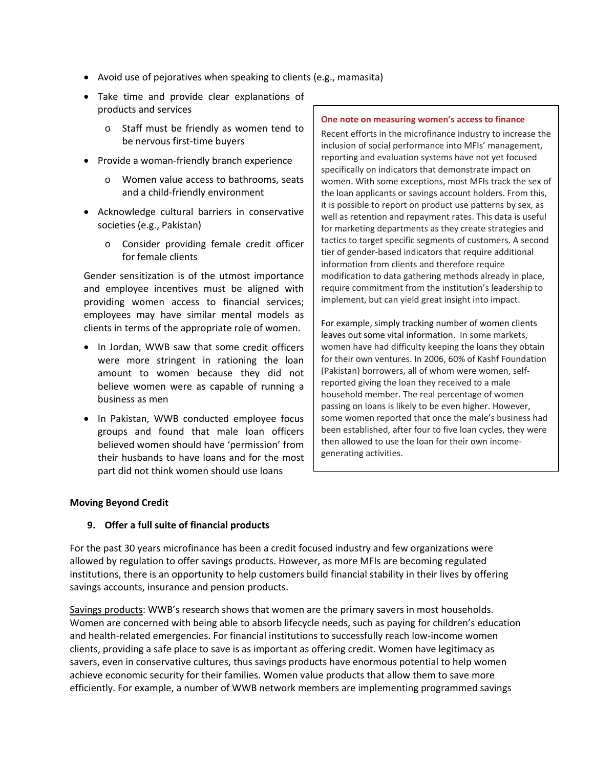- Avoid use of pejoratives when speaking to clients (e.g., mamasita)
- Take time and provide clear explanations of products and services
	- o Staff must be friendly as women tend to be nervous first‐time buyers
- Provide a woman-friendly branch experience
	- o Women value access to bathrooms, seats and a child‐friendly environment
- Acknowledge cultural barriers in conservative societies (e.g., Pakistan)
	- o Consider providing female credit officer for female clients

Gender sensitization is of the utmost importance and employee incentives must be aligned with providing women access to financial services; employees may have similar mental models as clients in terms of the appropriate role of women.

- In Jordan, WWB saw that some credit officers were more stringent in rationing the loan amount to women because they did not believe women were as capable of running a business as men
- In Pakistan, WWB conducted employee focus groups and found that male loan officers believed women should have 'permission' from their husbands to have loans and for the most part did not think women should use loans

#### **One note on measuring women's access to finance**

Recent efforts in the microfinance industry to increase the inclusion of social performance into MFIs' management, reporting and evaluation systems have not yet focused specifically on indicators that demonstrate impact on women. With some exceptions, most MFIs track the sex of the loan applicants or savings account holders. From this, it is possible to report on product use patterns by sex, as well as retention and repayment rates. This data is useful for marketing departments as they create strategies and tactics to target specific segments of customers. A second tier of gender‐based indicators that require additional information from clients and therefore require modification to data gathering methods already in place, require commitment from the institution's leadership to implement, but can yield great insight into impact.

For example, simply tracking number of women clients leaves out some vital information. In some markets, women have had difficulty keeping the loans they obtain for their own ventures. In 2006, 60% of Kashf Foundation (Pakistan) borrowers, all of whom were women, self‐ reported giving the loan they received to a male household member. The real percentage of women passing on loans is likely to be even higher. However, some women reported that once the male's business had been established, after four to five loan cycles, they were then allowed to use the loan for their own income‐ generating activities.

### **Moving Beyond Credit**

### **9. Offer a full suite of financial products**

For the past 30 years microfinance has been a credit focused industry and few organizations were allowed by regulation to offer savings products. However, as more MFIs are becoming regulated institutions, there is an opportunity to help customers build financial stability in their lives by offering savings accounts, insurance and pension products.

Savings products: WWB's research shows that women are the primary savers in most households. Women are concerned with being able to absorb lifecycle needs, such as paying for children's education and health-related emergencies. For financial institutions to successfully reach low-income women clients, providing a safe place to save is as important as offering credit. Women have legitimacy as savers, even in conservative cultures, thus savings products have enormous potential to help women achieve economic security for their families. Women value products that allow them to save more efficiently. For example, a number of WWB network members are implementing programmed savings